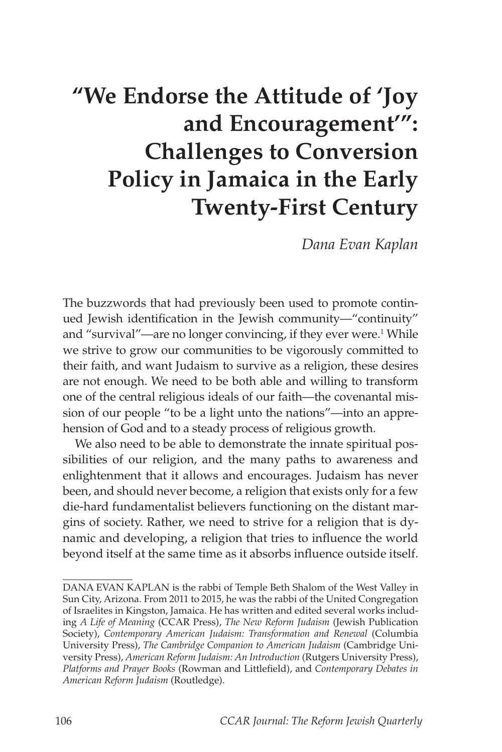## **"We Endorse the Attitude of 'Joy and Encouragement'": Challenges to Conversion Policy in Jamaica in the Early Twenty-First Century**

*Dana Evan Kaplan*

The buzzwords that had previously been used to promote continued Jewish identification in the Jewish community—"continuity" and "survival"—are no longer convincing, if they ever were.<sup>1</sup> While we strive to grow our communities to be vigorously committed to their faith, and want Judaism to survive as a religion, these desires are not enough. We need to be both able and willing to transform one of the central religious ideals of our faith—the covenantal mission of our people "to be a light unto the nations"—into an apprehension of God and to a steady process of religious growth.

We also need to be able to demonstrate the innate spiritual possibilities of our religion, and the many paths to awareness and enlightenment that it allows and encourages. Judaism has never been, and should never become, a religion that exists only for a few die-hard fundamentalist believers functioning on the distant margins of society. Rather, we need to strive for a religion that is dynamic and developing, a religion that tries to influence the world beyond itself at the same time as it absorbs influence outside itself.

DANA EVAN KAPLAN is the rabbi of Temple Beth Shalom of the West Valley in Sun City, Arizona. From 2011 to 2015, he was the rabbi of the United Congregation of Israelites in Kingston, Jamaica. He has written and edited several works including *A Life of Meaning* (CCAR Press), *The New Reform Judaism* (Jewish Publication Society), *Contemporary American Judaism: Transformation and Renewal* (Columbia University Press), *The Cambridge Companion to American Judaism* (Cambridge University Press), *American Reform Judaism: An Introduction* (Rutgers University Press), *Platforms and Prayer Books* (Rowman and Littlefield), and *Contemporary Debates in American Reform Judaism* (Routledge).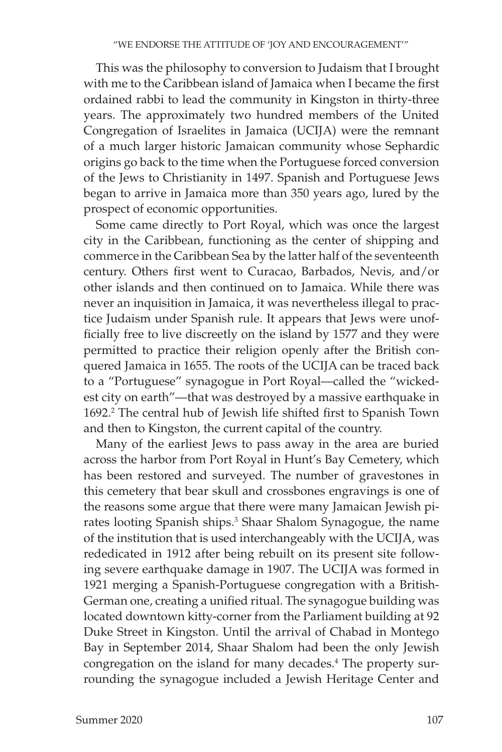This was the philosophy to conversion to Judaism that I brought with me to the Caribbean island of Jamaica when I became the first ordained rabbi to lead the community in Kingston in thirty-three years. The approximately two hundred members of the United Congregation of Israelites in Jamaica (UCIJA) were the remnant of a much larger historic Jamaican community whose Sephardic origins go back to the time when the Portuguese forced conversion of the Jews to Christianity in 1497. Spanish and Portuguese Jews began to arrive in Jamaica more than 350 years ago, lured by the prospect of economic opportunities.

Some came directly to Port Royal, which was once the largest city in the Caribbean, functioning as the center of shipping and commerce in the Caribbean Sea by the latter half of the seventeenth century. Others first went to Curacao, Barbados, Nevis, and/or other islands and then continued on to Jamaica. While there was never an inquisition in Jamaica, it was nevertheless illegal to practice Judaism under Spanish rule. It appears that Jews were unofficially free to live discreetly on the island by 1577 and they were permitted to practice their religion openly after the British conquered Jamaica in 1655. The roots of the UCIJA can be traced back to a "Portuguese" synagogue in Port Royal—called the "wickedest city on earth"—that was destroyed by a massive earthquake in 1692. 2 The central hub of Jewish life shifted first to Spanish Town and then to Kingston, the current capital of the country.

Many of the earliest Jews to pass away in the area are buried across the harbor from Port Royal in Hunt's Bay Cemetery, which has been restored and surveyed. The number of gravestones in this cemetery that bear skull and crossbones engravings is one of the reasons some argue that there were many Jamaican Jewish pirates looting Spanish ships.<sup>3</sup> Shaar Shalom Synagogue, the name of the institution that is used interchangeably with the UCIJA, was rededicated in 1912 after being rebuilt on its present site following severe earthquake damage in 1907. The UCIJA was formed in 1921 merging a Spanish-Portuguese congregation with a British-German one, creating a unified ritual. The synagogue building was located downtown kitty-corner from the Parliament building at 92 Duke Street in Kingston. Until the arrival of Chabad in Montego Bay in September 2014, Shaar Shalom had been the only Jewish congregation on the island for many decades.<sup>4</sup> The property surrounding the synagogue included a Jewish Heritage Center and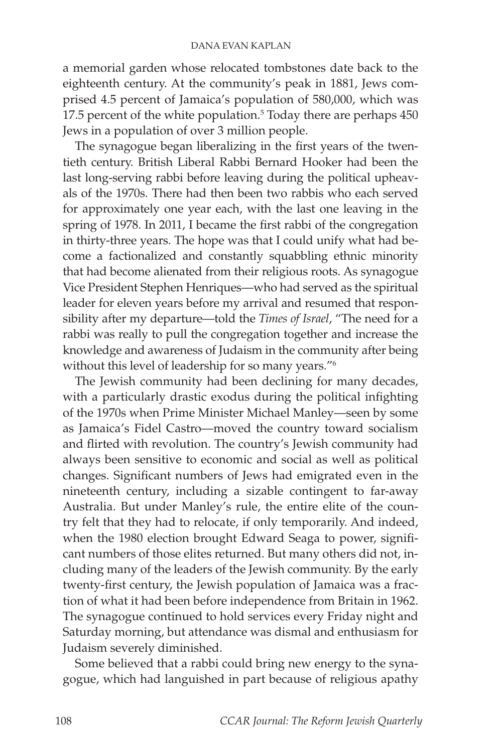a memorial garden whose relocated tombstones date back to the eighteenth century. At the community's peak in 1881, Jews comprised 4.5 percent of Jamaica's population of 580,000, which was 17.5 percent of the white population.<sup>5</sup> Today there are perhaps 450 Jews in a population of over 3 million people.

The synagogue began liberalizing in the first years of the twentieth century. British Liberal Rabbi Bernard Hooker had been the last long-serving rabbi before leaving during the political upheavals of the 1970s. There had then been two rabbis who each served for approximately one year each, with the last one leaving in the spring of 1978. In 2011, I became the first rabbi of the congregation in thirty-three years. The hope was that I could unify what had become a factionalized and constantly squabbling ethnic minority that had become alienated from their religious roots. As synagogue Vice President Stephen Henriques—who had served as the spiritual leader for eleven years before my arrival and resumed that responsibility after my departure—told the *Times of Israel*, "The need for a rabbi was really to pull the congregation together and increase the knowledge and awareness of Judaism in the community after being without this level of leadership for so many years."6

The Jewish community had been declining for many decades, with a particularly drastic exodus during the political infighting of the 1970s when Prime Minister Michael Manley—seen by some as Jamaica's Fidel Castro—moved the country toward socialism and flirted with revolution. The country's Jewish community had always been sensitive to economic and social as well as political changes. Significant numbers of Jews had emigrated even in the nineteenth century, including a sizable contingent to far-away Australia. But under Manley's rule, the entire elite of the country felt that they had to relocate, if only temporarily. And indeed, when the 1980 election brought Edward Seaga to power, significant numbers of those elites returned. But many others did not, including many of the leaders of the Jewish community. By the early twenty-first century, the Jewish population of Jamaica was a fraction of what it had been before independence from Britain in 1962. The synagogue continued to hold services every Friday night and Saturday morning, but attendance was dismal and enthusiasm for Judaism severely diminished.

Some believed that a rabbi could bring new energy to the synagogue, which had languished in part because of religious apathy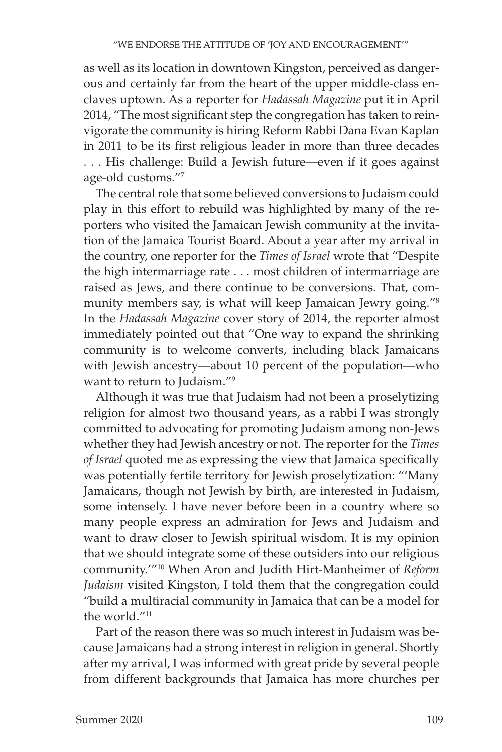as well as its location in downtown Kingston, perceived as dangerous and certainly far from the heart of the upper middle-class enclaves uptown. As a reporter for *Hadassah Magazine* put it in April 2014, "The most significant step the congregation has taken to reinvigorate the community is hiring Reform Rabbi Dana Evan Kaplan in 2011 to be its first religious leader in more than three decades . . . His challenge: Build a Jewish future—even if it goes against age-old customs."7

The central role that some believed conversions to Judaism could play in this effort to rebuild was highlighted by many of the reporters who visited the Jamaican Jewish community at the invitation of the Jamaica Tourist Board. About a year after my arrival in the country, one reporter for the *Times of Israel* wrote that "Despite the high intermarriage rate . . . most children of intermarriage are raised as Jews, and there continue to be conversions. That, community members say, is what will keep Jamaican Jewry going."8 In the *Hadassah Magazine* cover story of 2014, the reporter almost immediately pointed out that "One way to expand the shrinking community is to welcome converts, including black Jamaicans with Jewish ancestry—about 10 percent of the population—who want to return to Judaism."9

Although it was true that Judaism had not been a proselytizing religion for almost two thousand years, as a rabbi I was strongly committed to advocating for promoting Judaism among non-Jews whether they had Jewish ancestry or not. The reporter for the *Times of Israel* quoted me as expressing the view that Jamaica specifically was potentially fertile territory for Jewish proselytization: "'Many Jamaicans, though not Jewish by birth, are interested in Judaism, some intensely. I have never before been in a country where so many people express an admiration for Jews and Judaism and want to draw closer to Jewish spiritual wisdom. It is my opinion that we should integrate some of these outsiders into our religious community.'"10 When Aron and Judith Hirt-Manheimer of *Reform Judaism* visited Kingston, I told them that the congregation could "build a multiracial community in Jamaica that can be a model for the world."11

Part of the reason there was so much interest in Judaism was because Jamaicans had a strong interest in religion in general. Shortly after my arrival, I was informed with great pride by several people from different backgrounds that Jamaica has more churches per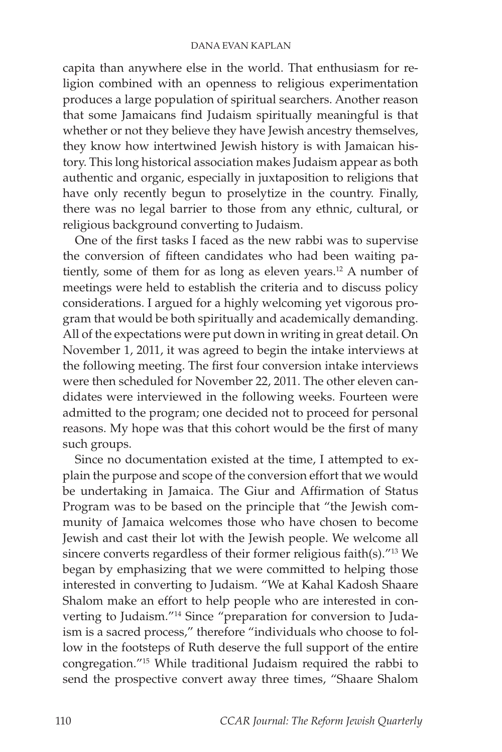capita than anywhere else in the world. That enthusiasm for religion combined with an openness to religious experimentation produces a large population of spiritual searchers. Another reason that some Jamaicans find Judaism spiritually meaningful is that whether or not they believe they have Jewish ancestry themselves, they know how intertwined Jewish history is with Jamaican history. This long historical association makes Judaism appear as both authentic and organic, especially in juxtaposition to religions that have only recently begun to proselytize in the country. Finally, there was no legal barrier to those from any ethnic, cultural, or religious background converting to Judaism.

One of the first tasks I faced as the new rabbi was to supervise the conversion of fifteen candidates who had been waiting patiently, some of them for as long as eleven years.<sup>12</sup> A number of meetings were held to establish the criteria and to discuss policy considerations. I argued for a highly welcoming yet vigorous program that would be both spiritually and academically demanding. All of the expectations were put down in writing in great detail. On November 1, 2011, it was agreed to begin the intake interviews at the following meeting. The first four conversion intake interviews were then scheduled for November 22, 2011. The other eleven candidates were interviewed in the following weeks. Fourteen were admitted to the program; one decided not to proceed for personal reasons. My hope was that this cohort would be the first of many such groups.

Since no documentation existed at the time, I attempted to explain the purpose and scope of the conversion effort that we would be undertaking in Jamaica. The Giur and Affirmation of Status Program was to be based on the principle that "the Jewish community of Jamaica welcomes those who have chosen to become Jewish and cast their lot with the Jewish people. We welcome all sincere converts regardless of their former religious faith(s)."13 We began by emphasizing that we were committed to helping those interested in converting to Judaism. "We at Kahal Kadosh Shaare Shalom make an effort to help people who are interested in converting to Judaism."14 Since "preparation for conversion to Judaism is a sacred process," therefore "individuals who choose to follow in the footsteps of Ruth deserve the full support of the entire congregation."15 While traditional Judaism required the rabbi to send the prospective convert away three times, "Shaare Shalom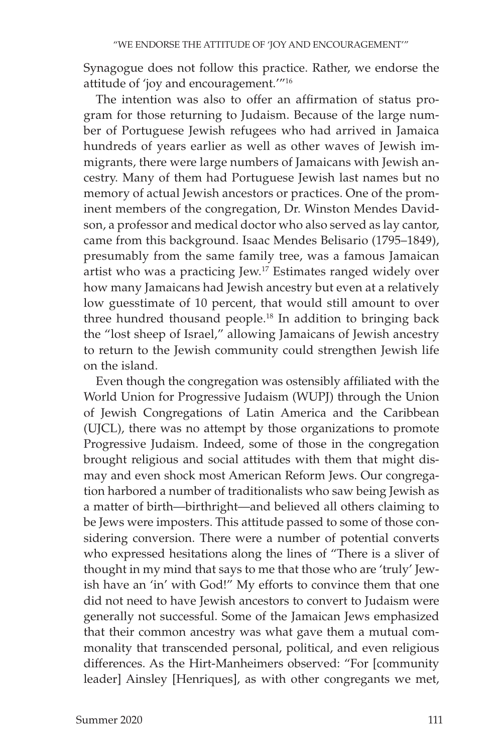Synagogue does not follow this practice. Rather, we endorse the attitude of 'joy and encouragement.'"16

The intention was also to offer an affirmation of status program for those returning to Judaism. Because of the large number of Portuguese Jewish refugees who had arrived in Jamaica hundreds of years earlier as well as other waves of Jewish immigrants, there were large numbers of Jamaicans with Jewish ancestry. Many of them had Portuguese Jewish last names but no memory of actual Jewish ancestors or practices. One of the prominent members of the congregation, Dr. Winston Mendes Davidson, a professor and medical doctor who also served as lay cantor, came from this background. Isaac Mendes Belisario (1795–1849), presumably from the same family tree, was a famous Jamaican artist who was a practicing Jew.<sup>17</sup> Estimates ranged widely over how many Jamaicans had Jewish ancestry but even at a relatively low guesstimate of 10 percent, that would still amount to over three hundred thousand people.<sup>18</sup> In addition to bringing back the "lost sheep of Israel," allowing Jamaicans of Jewish ancestry to return to the Jewish community could strengthen Jewish life on the island.

Even though the congregation was ostensibly affiliated with the World Union for Progressive Judaism (WUPJ) through the Union of Jewish Congregations of Latin America and the Caribbean (UJCL), there was no attempt by those organizations to promote Progressive Judaism. Indeed, some of those in the congregation brought religious and social attitudes with them that might dismay and even shock most American Reform Jews. Our congregation harbored a number of traditionalists who saw being Jewish as a matter of birth—birthright—and believed all others claiming to be Jews were imposters. This attitude passed to some of those considering conversion. There were a number of potential converts who expressed hesitations along the lines of "There is a sliver of thought in my mind that says to me that those who are 'truly' Jewish have an 'in' with God!" My efforts to convince them that one did not need to have Jewish ancestors to convert to Judaism were generally not successful. Some of the Jamaican Jews emphasized that their common ancestry was what gave them a mutual commonality that transcended personal, political, and even religious differences. As the Hirt-Manheimers observed: "For [community leader] Ainsley [Henriques], as with other congregants we met,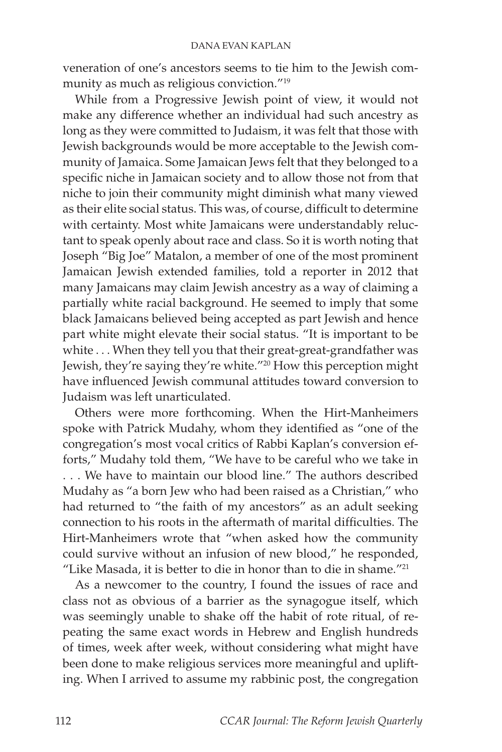veneration of one's ancestors seems to tie him to the Jewish community as much as religious conviction."19

While from a Progressive Jewish point of view, it would not make any difference whether an individual had such ancestry as long as they were committed to Judaism, it was felt that those with Jewish backgrounds would be more acceptable to the Jewish community of Jamaica. Some Jamaican Jews felt that they belonged to a specific niche in Jamaican society and to allow those not from that niche to join their community might diminish what many viewed as their elite social status. This was, of course, difficult to determine with certainty. Most white Jamaicans were understandably reluctant to speak openly about race and class. So it is worth noting that Joseph "Big Joe" Matalon, a member of one of the most prominent Jamaican Jewish extended families, told a reporter in 2012 that many Jamaicans may claim Jewish ancestry as a way of claiming a partially white racial background. He seemed to imply that some black Jamaicans believed being accepted as part Jewish and hence part white might elevate their social status. "It is important to be white . . . When they tell you that their great-great-grandfather was Jewish, they're saying they're white."20 How this perception might have influenced Jewish communal attitudes toward conversion to Judaism was left unarticulated.

Others were more forthcoming. When the Hirt-Manheimers spoke with Patrick Mudahy, whom they identified as "one of the congregation's most vocal critics of Rabbi Kaplan's conversion efforts," Mudahy told them, "We have to be careful who we take in . . . We have to maintain our blood line." The authors described Mudahy as "a born Jew who had been raised as a Christian," who had returned to "the faith of my ancestors" as an adult seeking connection to his roots in the aftermath of marital difficulties. The Hirt-Manheimers wrote that "when asked how the community could survive without an infusion of new blood," he responded, "Like Masada, it is better to die in honor than to die in shame."21

As a newcomer to the country, I found the issues of race and class not as obvious of a barrier as the synagogue itself, which was seemingly unable to shake off the habit of rote ritual, of repeating the same exact words in Hebrew and English hundreds of times, week after week, without considering what might have been done to make religious services more meaningful and uplifting. When I arrived to assume my rabbinic post, the congregation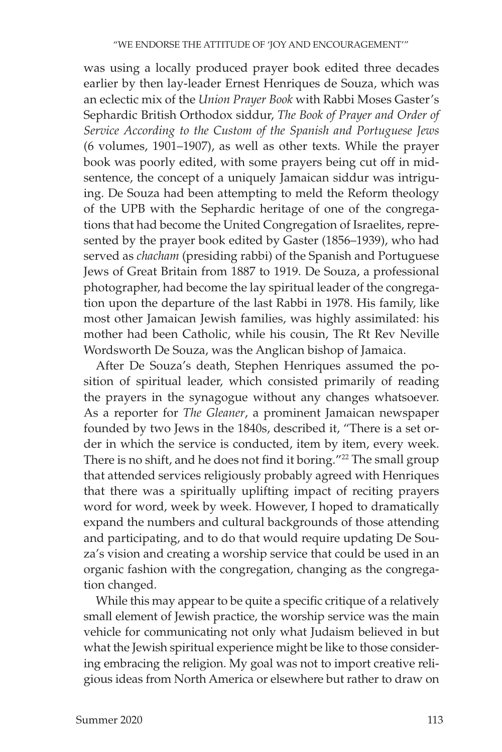was using a locally produced prayer book edited three decades earlier by then lay-leader Ernest Henriques de Souza, which was an eclectic mix of the *Union Prayer Book* with Rabbi Moses Gaster's Sephardic British Orthodox siddur, *The Book of Prayer and Order of Service According to the Custom of the Spanish and Portuguese Jews* (6 volumes, 1901–1907), as well as other texts. While the prayer book was poorly edited, with some prayers being cut off in midsentence, the concept of a uniquely Jamaican siddur was intriguing. De Souza had been attempting to meld the Reform theology of the UPB with the Sephardic heritage of one of the congregations that had become the United Congregation of Israelites, represented by the prayer book edited by Gaster (1856–1939), who had served as *chacham* (presiding rabbi) of the Spanish and Portuguese Jews of Great Britain from 1887 to 1919. De Souza, a professional photographer, had become the lay spiritual leader of the congregation upon the departure of the last Rabbi in 1978. His family, like most other Jamaican Jewish families, was highly assimilated: his mother had been Catholic, while his cousin, The Rt Rev Neville Wordsworth De Souza, was the Anglican bishop of Jamaica.

After De Souza's death, Stephen Henriques assumed the position of spiritual leader, which consisted primarily of reading the prayers in the synagogue without any changes whatsoever. As a reporter for *The Gleaner*, a prominent Jamaican newspaper founded by two Jews in the 1840s, described it, "There is a set order in which the service is conducted, item by item, every week. There is no shift, and he does not find it boring."<sup>22</sup> The small group that attended services religiously probably agreed with Henriques that there was a spiritually uplifting impact of reciting prayers word for word, week by week. However, I hoped to dramatically expand the numbers and cultural backgrounds of those attending and participating, and to do that would require updating De Souza's vision and creating a worship service that could be used in an organic fashion with the congregation, changing as the congregation changed.

While this may appear to be quite a specific critique of a relatively small element of Jewish practice, the worship service was the main vehicle for communicating not only what Judaism believed in but what the Jewish spiritual experience might be like to those considering embracing the religion. My goal was not to import creative religious ideas from North America or elsewhere but rather to draw on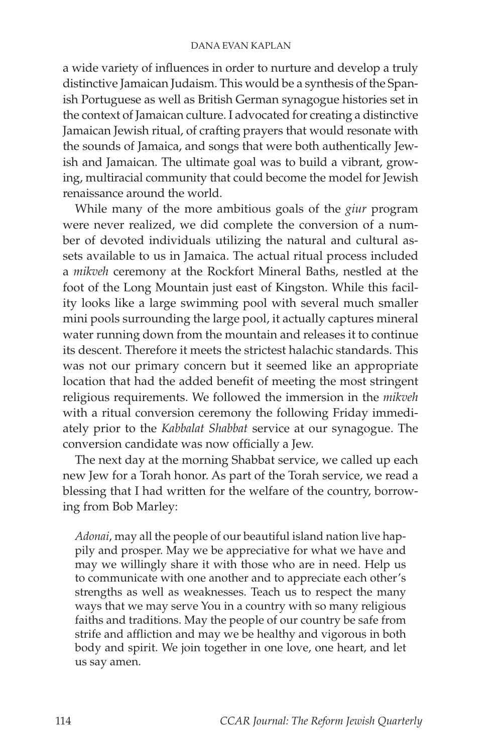## DANA EVAN KAPLAN

a wide variety of influences in order to nurture and develop a truly distinctive Jamaican Judaism. This would be a synthesis of the Spanish Portuguese as well as British German synagogue histories set in the context of Jamaican culture. I advocated for creating a distinctive Jamaican Jewish ritual, of crafting prayers that would resonate with the sounds of Jamaica, and songs that were both authentically Jewish and Jamaican. The ultimate goal was to build a vibrant, growing, multiracial community that could become the model for Jewish renaissance around the world.

While many of the more ambitious goals of the *giur* program were never realized, we did complete the conversion of a number of devoted individuals utilizing the natural and cultural assets available to us in Jamaica. The actual ritual process included a *mikveh* ceremony at the Rockfort Mineral Baths, nestled at the foot of the Long Mountain just east of Kingston. While this facility looks like a large swimming pool with several much smaller mini pools surrounding the large pool, it actually captures mineral water running down from the mountain and releases it to continue its descent. Therefore it meets the strictest halachic standards. This was not our primary concern but it seemed like an appropriate location that had the added benefit of meeting the most stringent religious requirements. We followed the immersion in the *mikveh* with a ritual conversion ceremony the following Friday immediately prior to the *Kabbalat Shabbat* service at our synagogue. The conversion candidate was now officially a Jew.

The next day at the morning Shabbat service, we called up each new Jew for a Torah honor. As part of the Torah service, we read a blessing that I had written for the welfare of the country, borrowing from Bob Marley:

*Adonai*, may all the people of our beautiful island nation live happily and prosper. May we be appreciative for what we have and may we willingly share it with those who are in need. Help us to communicate with one another and to appreciate each other's strengths as well as weaknesses. Teach us to respect the many ways that we may serve You in a country with so many religious faiths and traditions. May the people of our country be safe from strife and affliction and may we be healthy and vigorous in both body and spirit. We join together in one love, one heart, and let us say amen.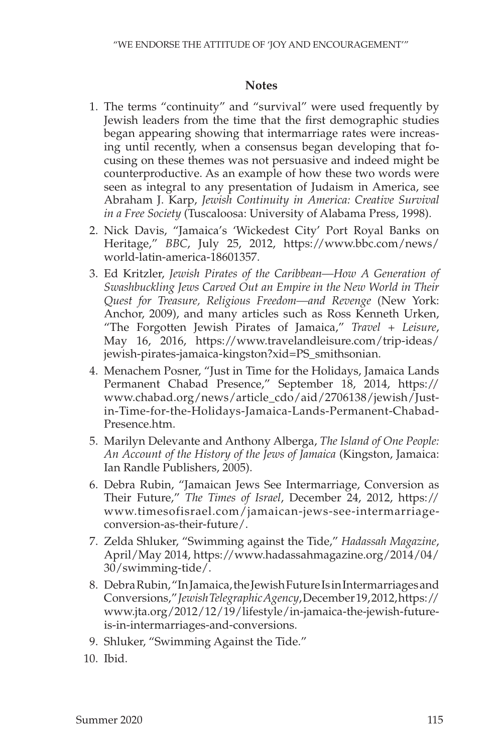## **Notes**

- 1. The terms "continuity" and "survival" were used frequently by Jewish leaders from the time that the first demographic studies began appearing showing that intermarriage rates were increasing until recently, when a consensus began developing that focusing on these themes was not persuasive and indeed might be counterproductive. As an example of how these two words were seen as integral to any presentation of Judaism in America, see Abraham J. Karp, *Jewish Continuity in America: Creative Survival in a Free Society* (Tuscaloosa: University of Alabama Press, 1998).
- 2. Nick Davis, "Jamaica's 'Wickedest City' Port Royal Banks on Heritage," *BBC*, July 25, 2012, https://www.bbc.com/news/ world-latin-america-18601357.
- 3. Ed Kritzler, *Jewish Pirates of the Caribbean—How A Generation of Swashbuckling Jews Carved Out an Empire in the New World in Their Quest for Treasure, Religious Freedom—and Revenge* (New York: Anchor, 2009), and many articles such as Ross Kenneth Urken, "The Forgotten Jewish Pirates of Jamaica," *Travel + Leisure*, May 16, 2016, https://www.travelandleisure.com/trip-ideas/ jewish-pirates-jamaica-kingston?xid=PS\_smithsonian.
- 4. Menachem Posner, "Just in Time for the Holidays, Jamaica Lands Permanent Chabad Presence," September 18, 2014, https:// www.chabad.org/news/article\_cdo/aid/2706138/jewish/Justin-Time-for-the-Holidays-Jamaica-Lands-Permanent-Chabad-Presence.htm.
- 5. Marilyn Delevante and Anthony Alberga, *The Island of One People: An Account of the History of the Jews of Jamaica* (Kingston, Jamaica: Ian Randle Publishers, 2005).
- 6. Debra Rubin, "Jamaican Jews See Intermarriage, Conversion as Their Future," *The Times of Israel*, December 24, 2012, https:// www.timesofisrael.com/jamaican-jews-see-intermarriageconversion-as-their-future/.
- 7. Zelda Shluker, "Swimming against the Tide," *Hadassah Magazine*, April/May 2014, https://www.hadassahmagazine.org/2014/04/ 30/swimming-tide/.
- 8. Debra Rubin, "In Jamaica, the Jewish Future Is in Intermarriages and Conversions," *Jewish Telegraphic Agency*, December 19, 2012, https:// www.jta.org/2012/12/19/lifestyle/in-jamaica-the-jewish-futureis-in-intermarriages-and-conversions.
- 9. Shluker, "Swimming Against the Tide."
- 10. Ibid.